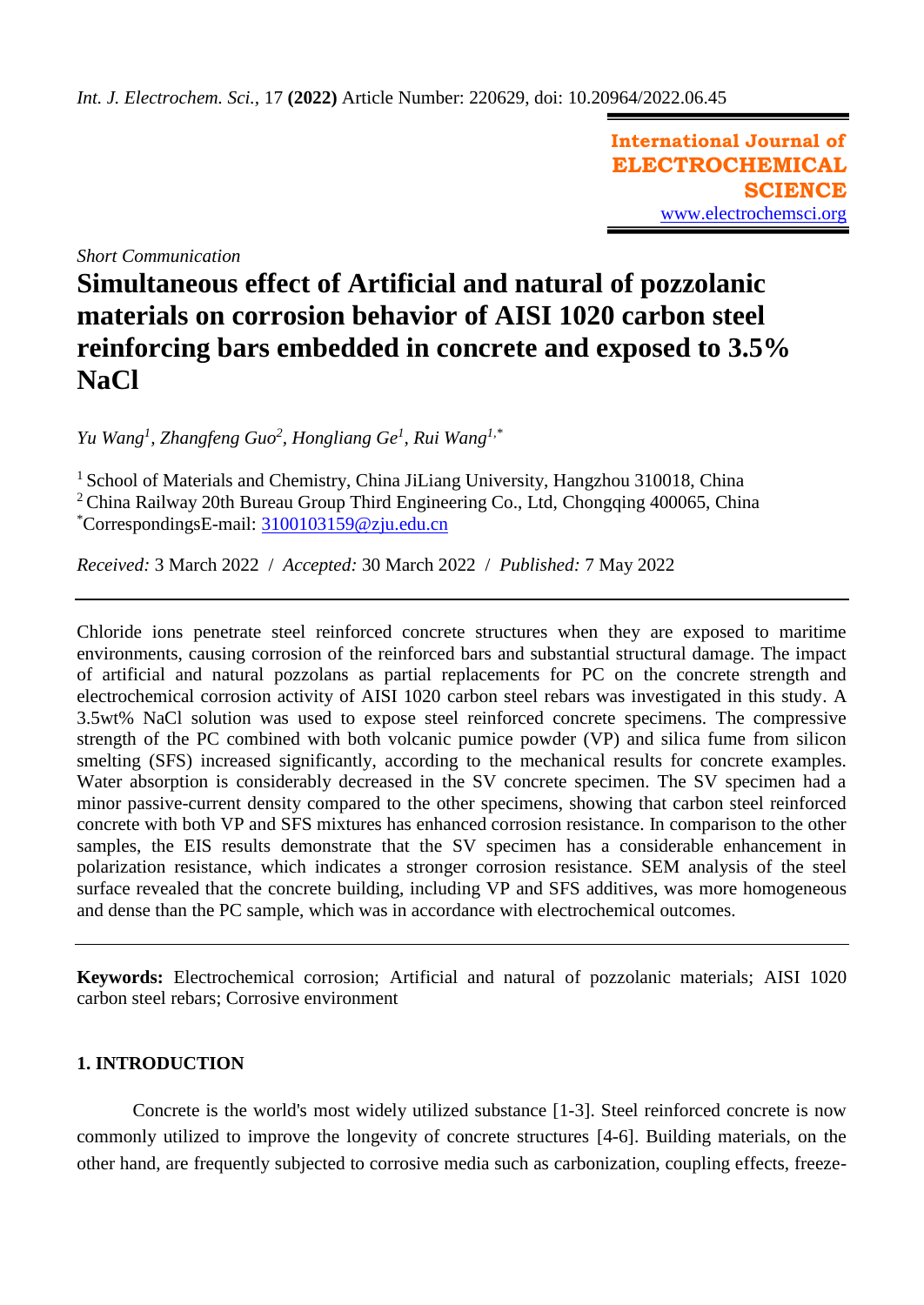**International Journal of ELECTROCHEMICAL SCIENCE** [www.electrochemsci.org](http://www.electrochemsci.org/)

*Short Communication*

# **Simultaneous effect of Artificial and natural of pozzolanic materials on corrosion behavior of AISI 1020 carbon steel reinforcing bars embedded in concrete and exposed to 3.5% NaCl**

*Yu Wang<sup>1</sup> , Zhangfeng Guo<sup>2</sup> , Hongliang Ge<sup>1</sup> , Rui Wang1,\**

<sup>1</sup> School of Materials and Chemistry, China JiLiang University, Hangzhou 310018, China <sup>2</sup> China Railway 20th Bureau Group Third Engineering Co., Ltd, Chongqing 400065, China \*CorrespondingsE-mail: [3100103159@zju.edu.cn](mailto:3100103159@zju.edu.cn)

*Received:* 3 March 2022/ *Accepted:* 30 March 2022 / *Published:* 7 May 2022

Chloride ions penetrate steel reinforced concrete structures when they are exposed to maritime environments, causing corrosion of the reinforced bars and substantial structural damage. The impact of artificial and natural pozzolans as partial replacements for PC on the concrete strength and electrochemical corrosion activity of AISI 1020 carbon steel rebars was investigated in this study. A 3.5wt% NaCl solution was used to expose steel reinforced concrete specimens. The compressive strength of the PC combined with both volcanic pumice powder (VP) and silica fume from silicon smelting (SFS) increased significantly, according to the mechanical results for concrete examples. Water absorption is considerably decreased in the SV concrete specimen. The SV specimen had a minor passive-current density compared to the other specimens, showing that carbon steel reinforced concrete with both VP and SFS mixtures has enhanced corrosion resistance. In comparison to the other samples, the EIS results demonstrate that the SV specimen has a considerable enhancement in polarization resistance, which indicates a stronger corrosion resistance. SEM analysis of the steel surface revealed that the concrete building, including VP and SFS additives, was more homogeneous and dense than the PC sample, which was in accordance with electrochemical outcomes.

**Keywords:** Electrochemical corrosion; Artificial and natural of pozzolanic materials; AISI 1020 carbon steel rebars; Corrosive environment

## **1. INTRODUCTION**

Concrete is the world's most widely utilized substance [\[1-3\]](#page-7-0). Steel reinforced concrete is now commonly utilized to improve the longevity of concrete structures [\[4-6\]](#page-7-1). Building materials, on the other hand, are frequently subjected to corrosive media such as carbonization, coupling effects, freeze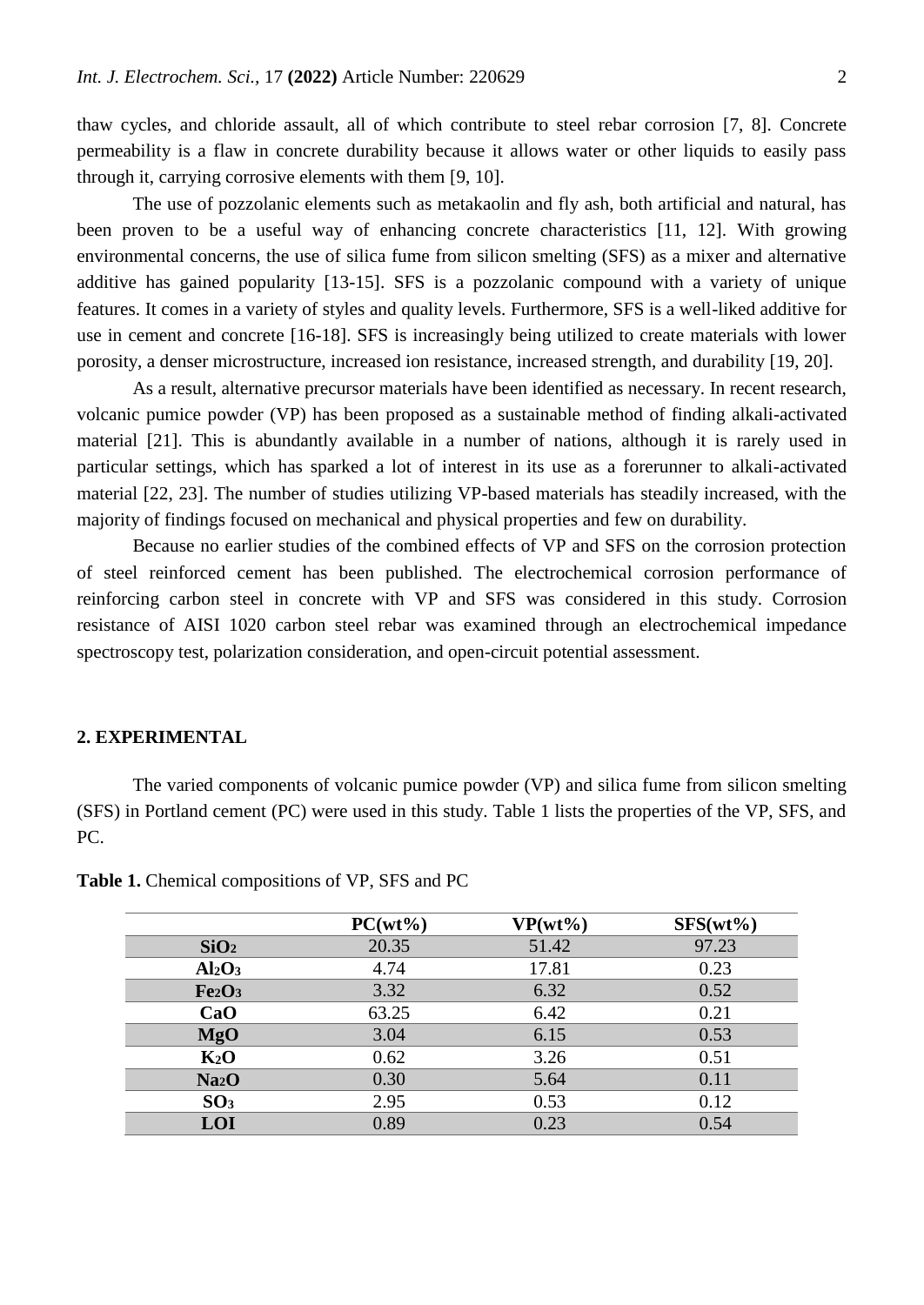thaw cycles, and chloride assault, all of which contribute to steel rebar corrosion [\[7,](#page-7-2) [8\]](#page-7-3). Concrete permeability is a flaw in concrete durability because it allows water or other liquids to easily pass through it, carrying corrosive elements with them [\[9,](#page-7-4) [10\]](#page-7-5).

The use of pozzolanic elements such as metakaolin and fly ash, both artificial and natural, has been proven to be a useful way of enhancing concrete characteristics [\[11,](#page-7-6) [12\]](#page-7-7). With growing environmental concerns, the use of silica fume from silicon smelting (SFS) as a mixer and alternative additive has gained popularity [\[13-15\]](#page-7-8). SFS is a pozzolanic compound with a variety of unique features. It comes in a variety of styles and quality levels. Furthermore, SFS is a well-liked additive for use in cement and concrete [\[16-18\]](#page-8-0). SFS is increasingly being utilized to create materials with lower porosity, a denser microstructure, increased ion resistance, increased strength, and durability [\[19,](#page-8-1) [20\]](#page-8-2).

As a result, alternative precursor materials have been identified as necessary. In recent research, volcanic pumice powder (VP) has been proposed as a sustainable method of finding alkali-activated material [\[21\]](#page-8-3). This is abundantly available in a number of nations, although it is rarely used in particular settings, which has sparked a lot of interest in its use as a forerunner to alkali-activated material [\[22,](#page-8-4) [23\]](#page-8-5). The number of studies utilizing VP-based materials has steadily increased, with the majority of findings focused on mechanical and physical properties and few on durability.

Because no earlier studies of the combined effects of VP and SFS on the corrosion protection of steel reinforced cement has been published. The electrochemical corrosion performance of reinforcing carbon steel in concrete with VP and SFS was considered in this study. Corrosion resistance of AISI 1020 carbon steel rebar was examined through an electrochemical impedance spectroscopy test, polarization consideration, and open-circuit potential assessment.

## **2. EXPERIMENTAL**

The varied components of volcanic pumice powder (VP) and silica fume from silicon smelting (SFS) in Portland cement (PC) were used in this study. Table 1 lists the properties of the VP, SFS, and PC.

|                                | $PC(wt\%)$ | $VP(wt\%)$ | $SFS(wt\%)$ |
|--------------------------------|------------|------------|-------------|
| SiO <sub>2</sub>               | 20.35      | 51.42      | 97.23       |
| Al <sub>2</sub> O <sub>3</sub> | 4.74       | 17.81      | 0.23        |
| Fe <sub>2</sub> O <sub>3</sub> | 3.32       | 6.32       | 0.52        |
| CaO                            | 63.25      | 6.42       | 0.21        |
| <b>MgO</b>                     | 3.04       | 6.15       | 0.53        |
| K <sub>2</sub> O               | 0.62       | 3.26       | 0.51        |
| Na <sub>2</sub> O              | 0.30       | 5.64       | 0.11        |
| SO <sub>3</sub>                | 2.95       | 0.53       | 0.12        |
| LOI                            | 0.89       | 0.23       | 0.54        |

**Table 1.** Chemical compositions of VP, SFS and PC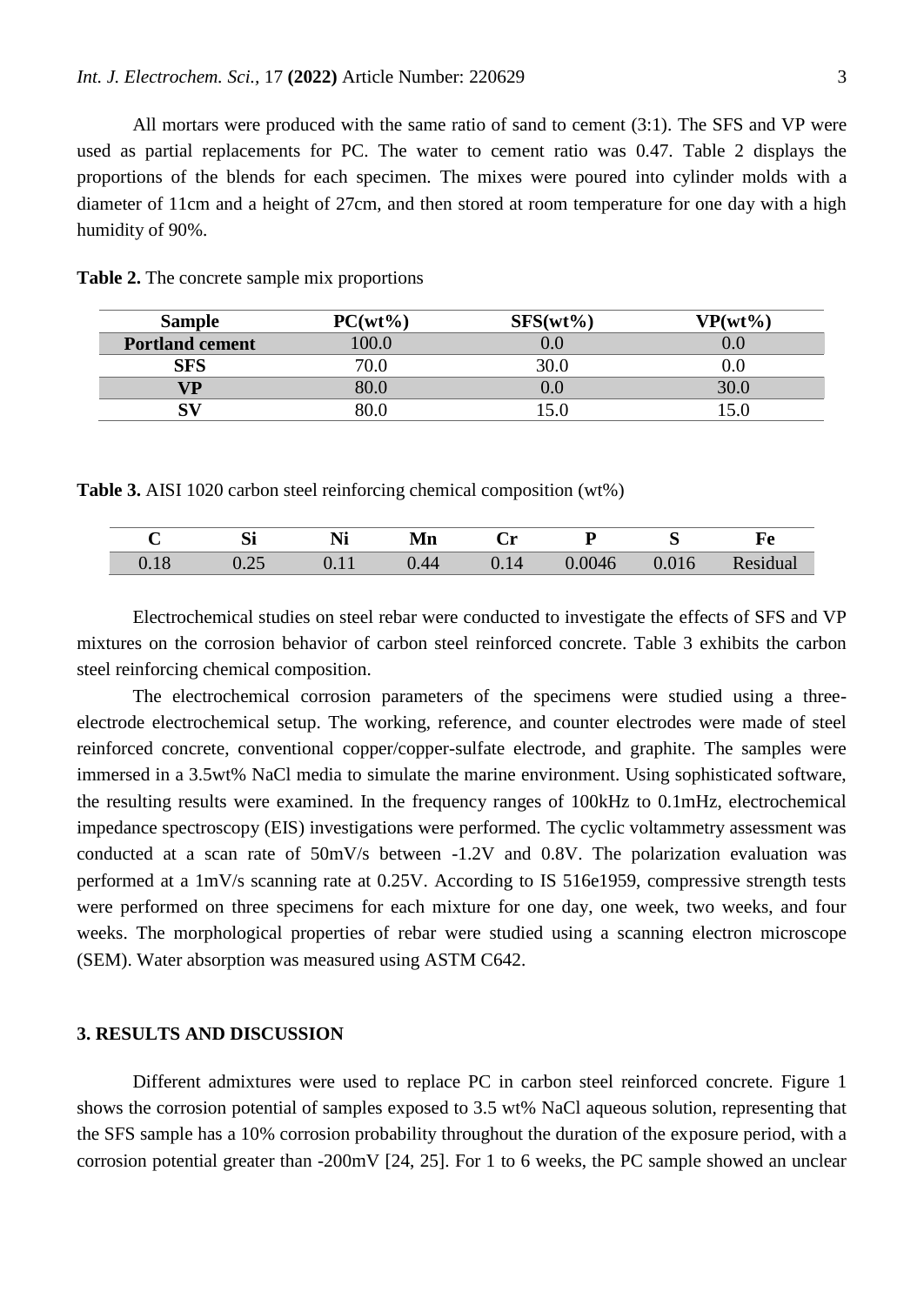All mortars were produced with the same ratio of sand to cement (3:1). The SFS and VP were used as partial replacements for PC. The water to cement ratio was 0.47. Table 2 displays the proportions of the blends for each specimen. The mixes were poured into cylinder molds with a diameter of 11cm and a height of 27cm, and then stored at room temperature for one day with a high humidity of 90%.

| <b>Sample</b>          | $PC(wt\%)$ | $SFS(wt\%)$ | $VP(wt\%)$ |
|------------------------|------------|-------------|------------|
| <b>Portland cement</b> | 100.0      |             |            |
| <b>SFS</b>             | 70.0       | 30.0        |            |
| VD)                    | 30.0       |             | 30.0       |
|                        |            |             |            |

**Table 2.** The concrete sample mix proportions

**Table 3.** AISI 1020 carbon steel reinforcing chemical composition (wt%)

|                                         | n.<br>וכ          | $\bullet$ $\bullet$<br>T 4 T | Mn   | ◡ェ   |        | ∼          | xv   |
|-----------------------------------------|-------------------|------------------------------|------|------|--------|------------|------|
| $\overline{1}$ $\overline{C}$<br>v. 1 o | $\bigcap$<br>∪.∠J | v.il                         | V.44 | 0.14 | 0.0046 | 1 U<br>v.v | dual |

Electrochemical studies on steel rebar were conducted to investigate the effects of SFS and VP mixtures on the corrosion behavior of carbon steel reinforced concrete. Table 3 exhibits the carbon steel reinforcing chemical composition.

The electrochemical corrosion parameters of the specimens were studied using a threeelectrode electrochemical setup. The working, reference, and counter electrodes were made of steel reinforced concrete, conventional copper/copper-sulfate electrode, and graphite. The samples were immersed in a 3.5wt% NaCl media to simulate the marine environment. Using sophisticated software, the resulting results were examined. In the frequency ranges of 100kHz to 0.1mHz, electrochemical impedance spectroscopy (EIS) investigations were performed. The cyclic voltammetry assessment was conducted at a scan rate of 50mV/s between -1.2V and 0.8V. The polarization evaluation was performed at a 1mV/s scanning rate at 0.25V. According to IS 516e1959, compressive strength tests were performed on three specimens for each mixture for one day, one week, two weeks, and four weeks. The morphological properties of rebar were studied using a scanning electron microscope (SEM). Water absorption was measured using ASTM C642.

### **3. RESULTS AND DISCUSSION**

Different admixtures were used to replace PC in carbon steel reinforced concrete. Figure 1 shows the corrosion potential of samples exposed to 3.5 wt% NaCl aqueous solution, representing that the SFS sample has a 10% corrosion probability throughout the duration of the exposure period, with a corrosion potential greater than -200mV [\[24,](#page-8-6) [25\]](#page-8-7). For 1 to 6 weeks, the PC sample showed an unclear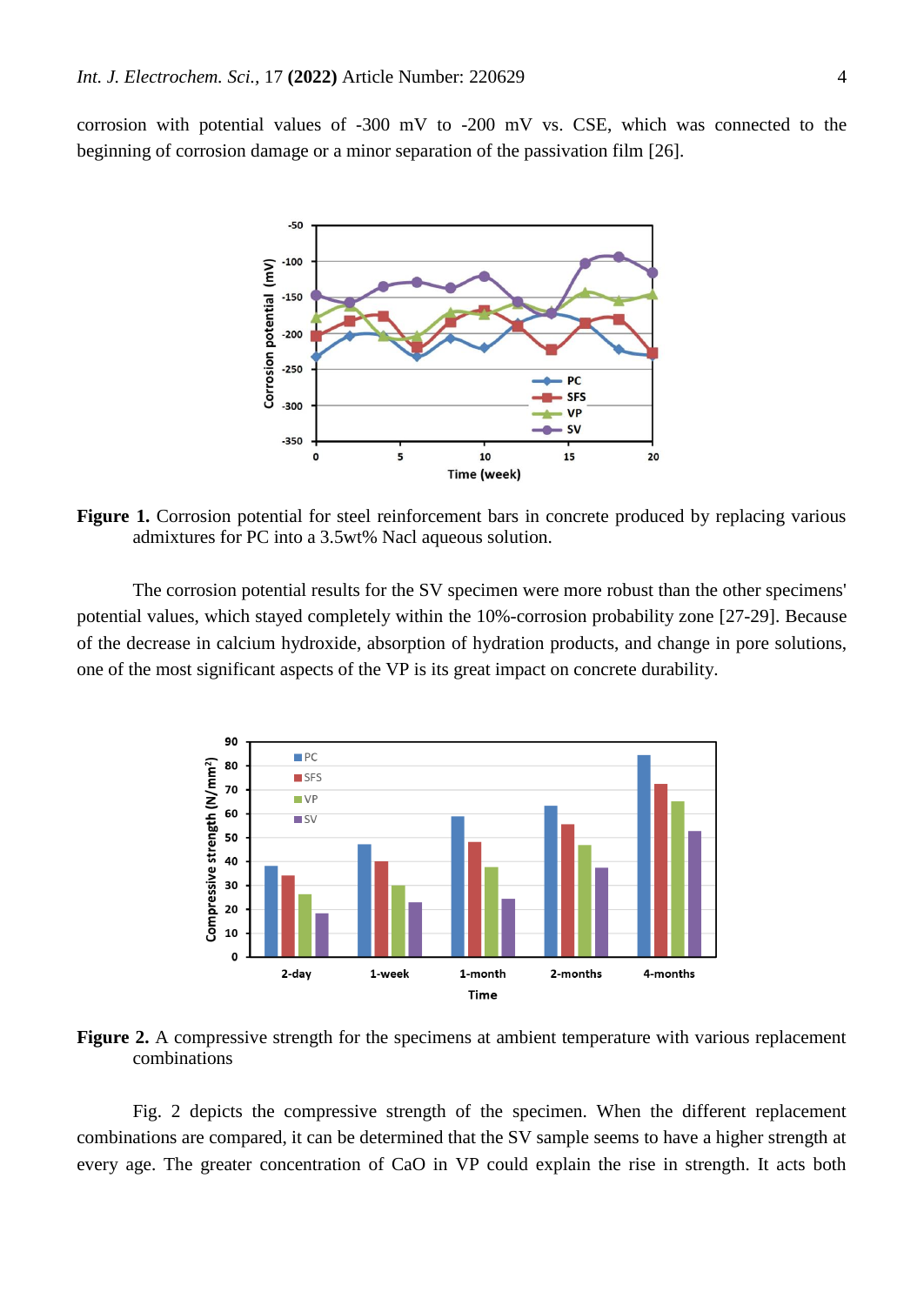corrosion with potential values of -300 mV to -200 mV vs. CSE, which was connected to the beginning of corrosion damage or a minor separation of the passivation film [\[26\]](#page-8-8).



Figure 1. Corrosion potential for steel reinforcement bars in concrete produced by replacing various admixtures for PC into a 3.5wt% Nacl aqueous solution.

The corrosion potential results for the SV specimen were more robust than the other specimens' potential values, which stayed completely within the 10%-corrosion probability zone [\[27-29\]](#page-8-9). Because of the decrease in calcium hydroxide, absorption of hydration products, and change in pore solutions, one of the most significant aspects of the VP is its great impact on concrete durability.



**Figure 2.** A compressive strength for the specimens at ambient temperature with various replacement combinations

Fig. 2 depicts the compressive strength of the specimen. When the different replacement combinations are compared, it can be determined that the SV sample seems to have a higher strength at every age. The greater concentration of CaO in VP could explain the rise in strength. It acts both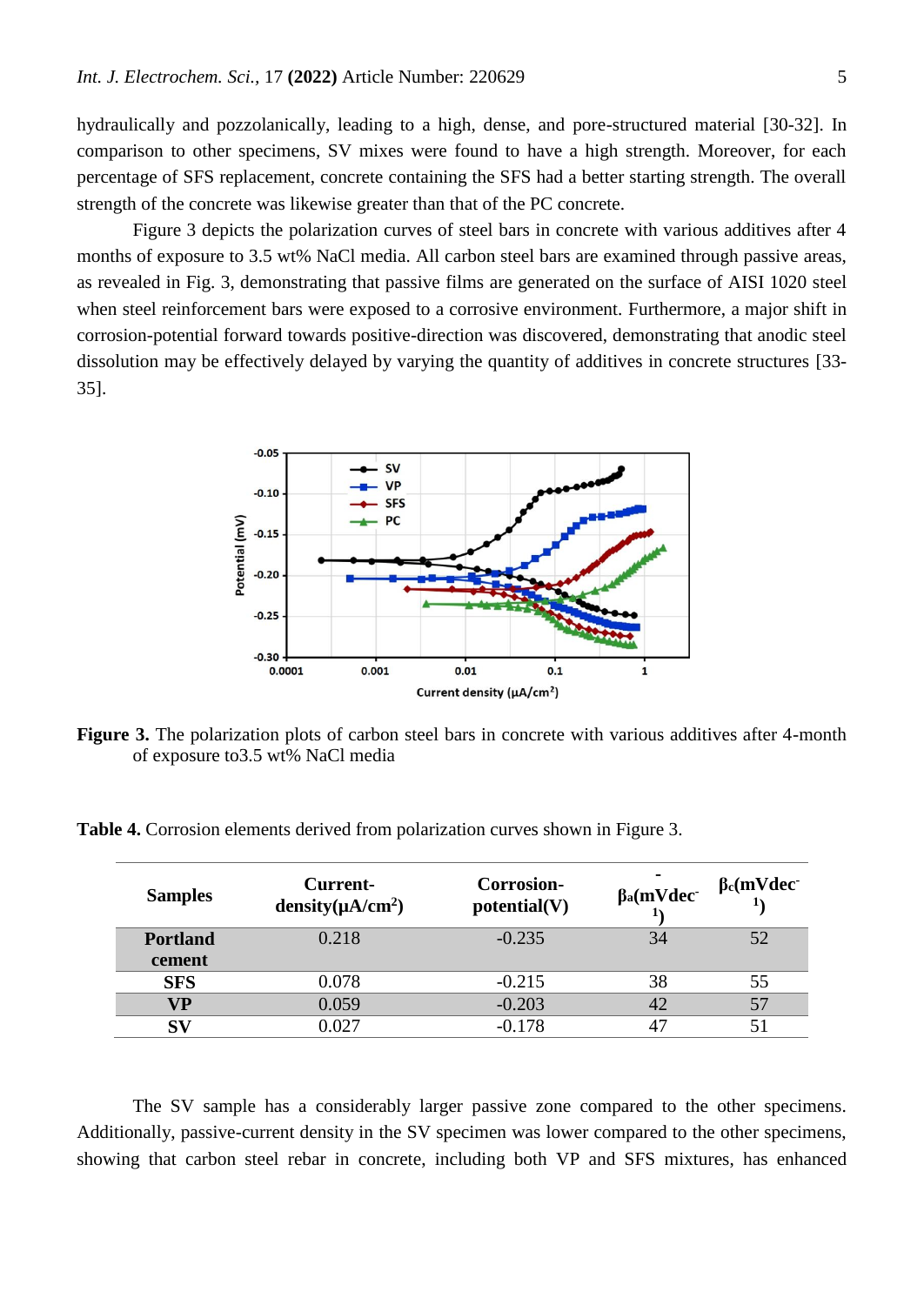hydraulically and pozzolanically, leading to a high, dense, and pore-structured material [\[30-32\]](#page-8-10). In comparison to other specimens, SV mixes were found to have a high strength. Moreover, for each percentage of SFS replacement, concrete containing the SFS had a better starting strength. The overall strength of the concrete was likewise greater than that of the PC concrete.

Figure 3 depicts the polarization curves of steel bars in concrete with various additives after 4 months of exposure to 3.5 wt% NaCl media. All carbon steel bars are examined through passive areas, as revealed in Fig. 3, demonstrating that passive films are generated on the surface of AISI 1020 steel when steel reinforcement bars were exposed to a corrosive environment. Furthermore, a major shift in corrosion-potential forward towards positive-direction was discovered, demonstrating that anodic steel dissolution may be effectively delayed by varying the quantity of additives in concrete structures [\[33-](#page-8-11) [35\]](#page-8-11).



**Figure 3.** The polarization plots of carbon steel bars in concrete with various additives after 4-month of exposure to3.5 wt% NaCl media

**Table 4.** Corrosion elements derived from polarization curves shown in Figure 3.

| <b>Samples</b>            | Current-<br>density( $\mu$ A/cm <sup>2</sup> ) | <b>Corrosion-</b><br>potential(V) | $\beta$ a(mVdec | $\beta_c(mVdec)$ |
|---------------------------|------------------------------------------------|-----------------------------------|-----------------|------------------|
| <b>Portland</b><br>cement | 0.218                                          | $-0.235$                          | 34              | 52               |
| <b>SFS</b>                | 0.078                                          | $-0.215$                          | 38              | 55               |
| VР                        | 0.059                                          | $-0.203$                          | 42              |                  |
| S <sub>I</sub>            | 0.027                                          | $-0.178$                          | 47              |                  |

The SV sample has a considerably larger passive zone compared to the other specimens. Additionally, passive-current density in the SV specimen was lower compared to the other specimens, showing that carbon steel rebar in concrete, including both VP and SFS mixtures, has enhanced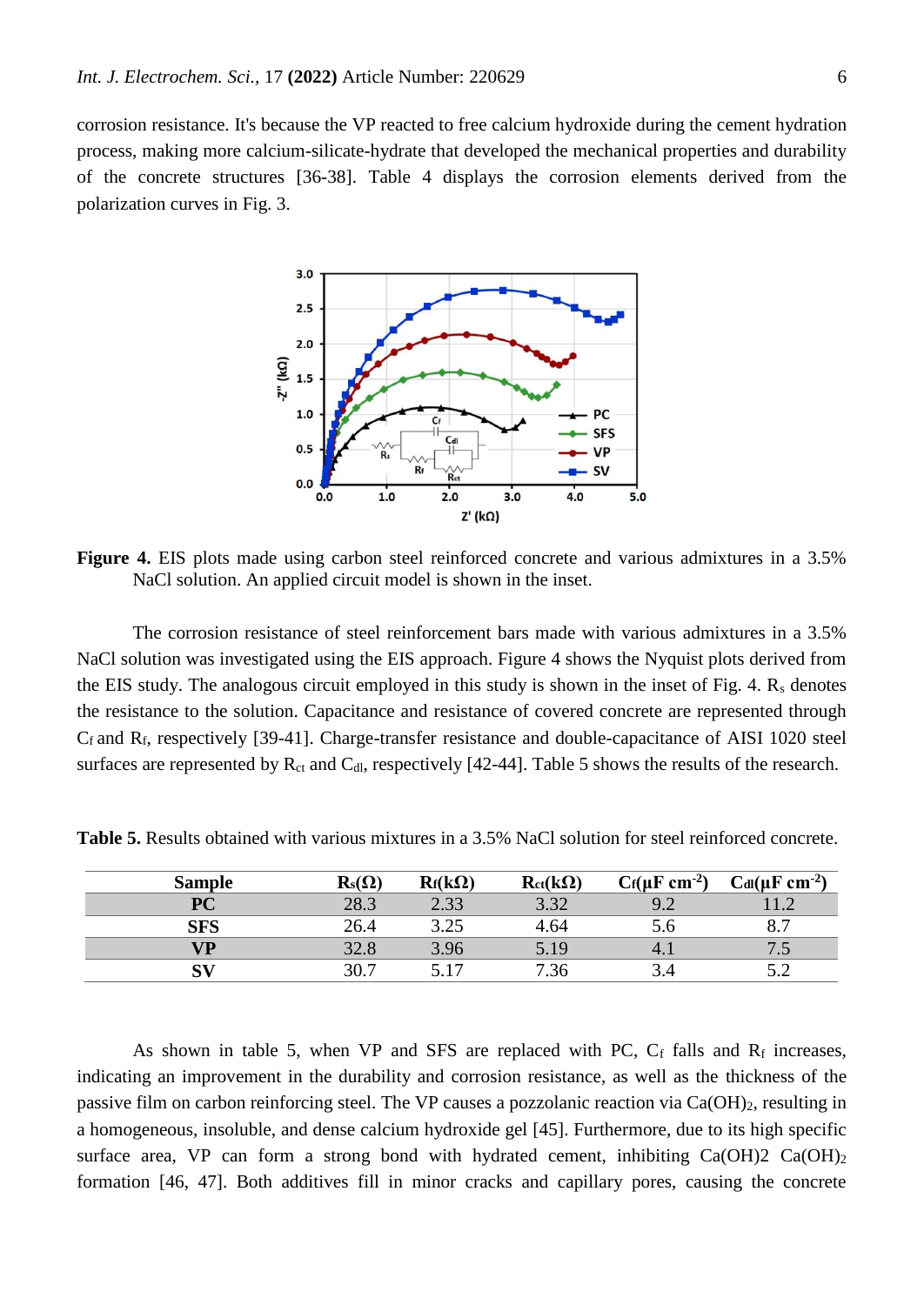corrosion resistance. It's because the VP reacted to free calcium hydroxide during the cement hydration process, making more calcium-silicate-hydrate that developed the mechanical properties and durability of the concrete structures [\[36-38\]](#page-8-12). Table 4 displays the corrosion elements derived from the polarization curves in Fig. 3.



**Figure 4.** EIS plots made using carbon steel reinforced concrete and various admixtures in a 3.5% NaCl solution. An applied circuit model is shown in the inset.

The corrosion resistance of steel reinforcement bars made with various admixtures in a 3.5% NaCl solution was investigated using the EIS approach. Figure 4 shows the Nyquist plots derived from the EIS study. The analogous circuit employed in this study is shown in the inset of Fig. 4.  $R_s$  denotes the resistance to the solution. Capacitance and resistance of covered concrete are represented through C<sup>f</sup> and Rf, respectively [\[39-41\]](#page-8-13). Charge-transfer resistance and double-capacitance of AISI 1020 steel surfaces are represented by  $R_{ct}$  and  $C_{dI}$ , respectively [\[42-44\]](#page-8-14). Table 5 shows the results of the research.

| <b>Sample</b> | $\mathbf{R}_\mathrm{s}(\Omega)$ | $R_f(k\Omega)$ | $R_{ct}(k\Omega)$ | $C_f(\mu F \text{ cm}^{-2})$ | $C_{dl}(\mu F \text{ cm}^{-2})$ |
|---------------|---------------------------------|----------------|-------------------|------------------------------|---------------------------------|
| <b>PC</b>     | 28.3                            | 2.33           | 3.32              | 9.2                          |                                 |
| SFS           | 26.4                            | 3.25           | 4.64              | 5.0                          | oп<br>$\mathbf{O}_{\bullet}$    |
| VP            | 32.8                            | 3.96           | 5.19              |                              | ر. ر                            |
| ${\bf SV}$    | 30.7                            | 517            | 7.36              |                              | ے . ر                           |

**Table 5.** Results obtained with various mixtures in a 3.5% NaCl solution for steel reinforced concrete.

As shown in table 5, when VP and SFS are replaced with PC,  $C_f$  falls and  $R_f$  increases, indicating an improvement in the durability and corrosion resistance, as well as the thickness of the passive film on carbon reinforcing steel. The VP causes a pozzolanic reaction via  $Ca(OH)_2$ , resulting in a homogeneous, insoluble, and dense calcium hydroxide gel [\[45\]](#page-9-0). Furthermore, due to its high specific surface area, VP can form a strong bond with hydrated cement, inhibiting  $Ca(OH)2 Ca(OH)$ formation [\[46,](#page-9-1) [47\]](#page-9-2). Both additives fill in minor cracks and capillary pores, causing the concrete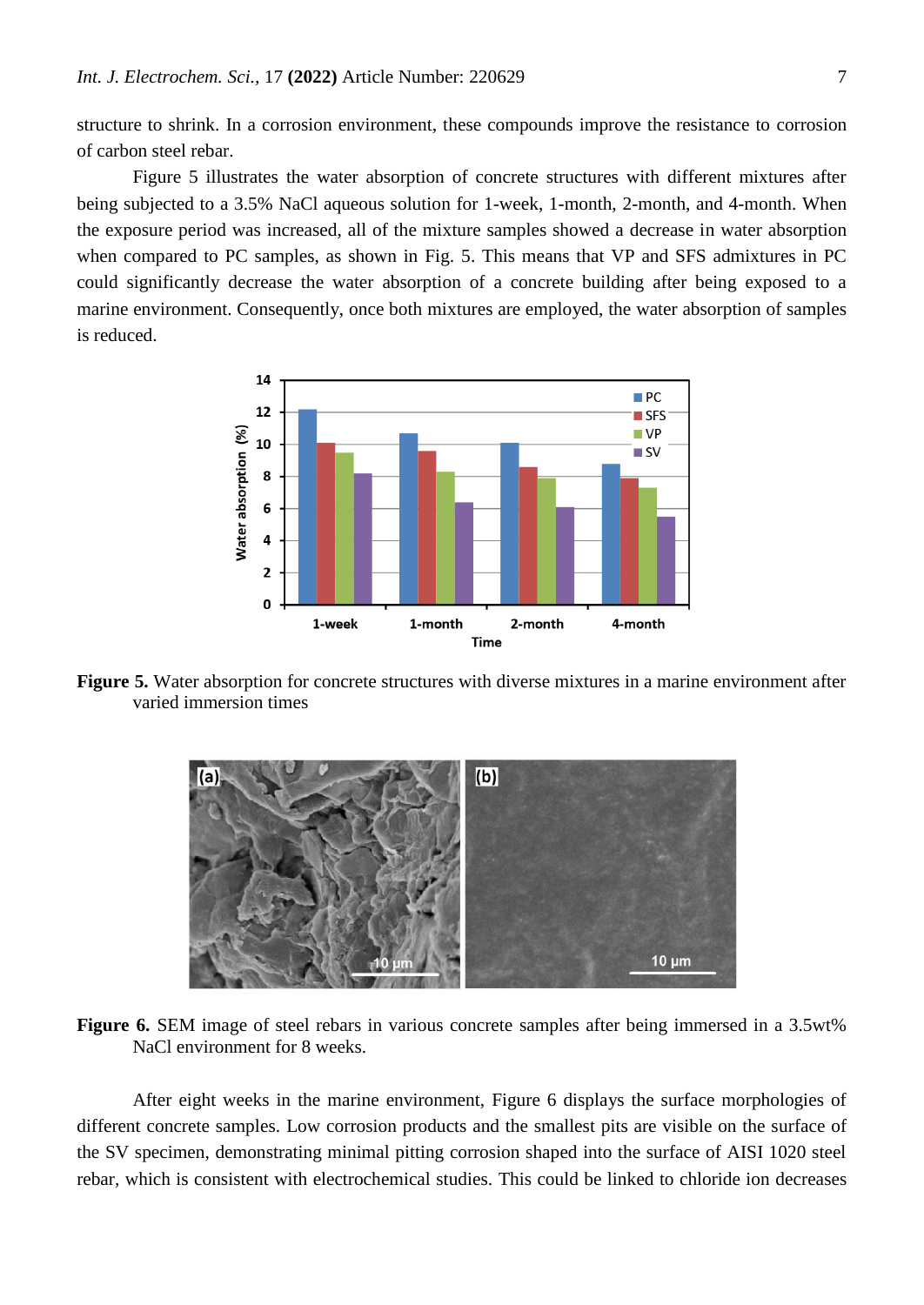structure to shrink. In a corrosion environment, these compounds improve the resistance to corrosion of carbon steel rebar.

Figure 5 illustrates the water absorption of concrete structures with different mixtures after being subjected to a 3.5% NaCl aqueous solution for 1-week, 1-month, 2-month, and 4-month. When the exposure period was increased, all of the mixture samples showed a decrease in water absorption when compared to PC samples, as shown in Fig. 5. This means that VP and SFS admixtures in PC could significantly decrease the water absorption of a concrete building after being exposed to a marine environment. Consequently, once both mixtures are employed, the water absorption of samples is reduced.



**Figure 5.** Water absorption for concrete structures with diverse mixtures in a marine environment after varied immersion times



**Figure 6.** SEM image of steel rebars in various concrete samples after being immersed in a 3.5wt% NaCl environment for 8 weeks.

After eight weeks in the marine environment, Figure 6 displays the surface morphologies of different concrete samples. Low corrosion products and the smallest pits are visible on the surface of the SV specimen, demonstrating minimal pitting corrosion shaped into the surface of AISI 1020 steel rebar, which is consistent with electrochemical studies. This could be linked to chloride ion decreases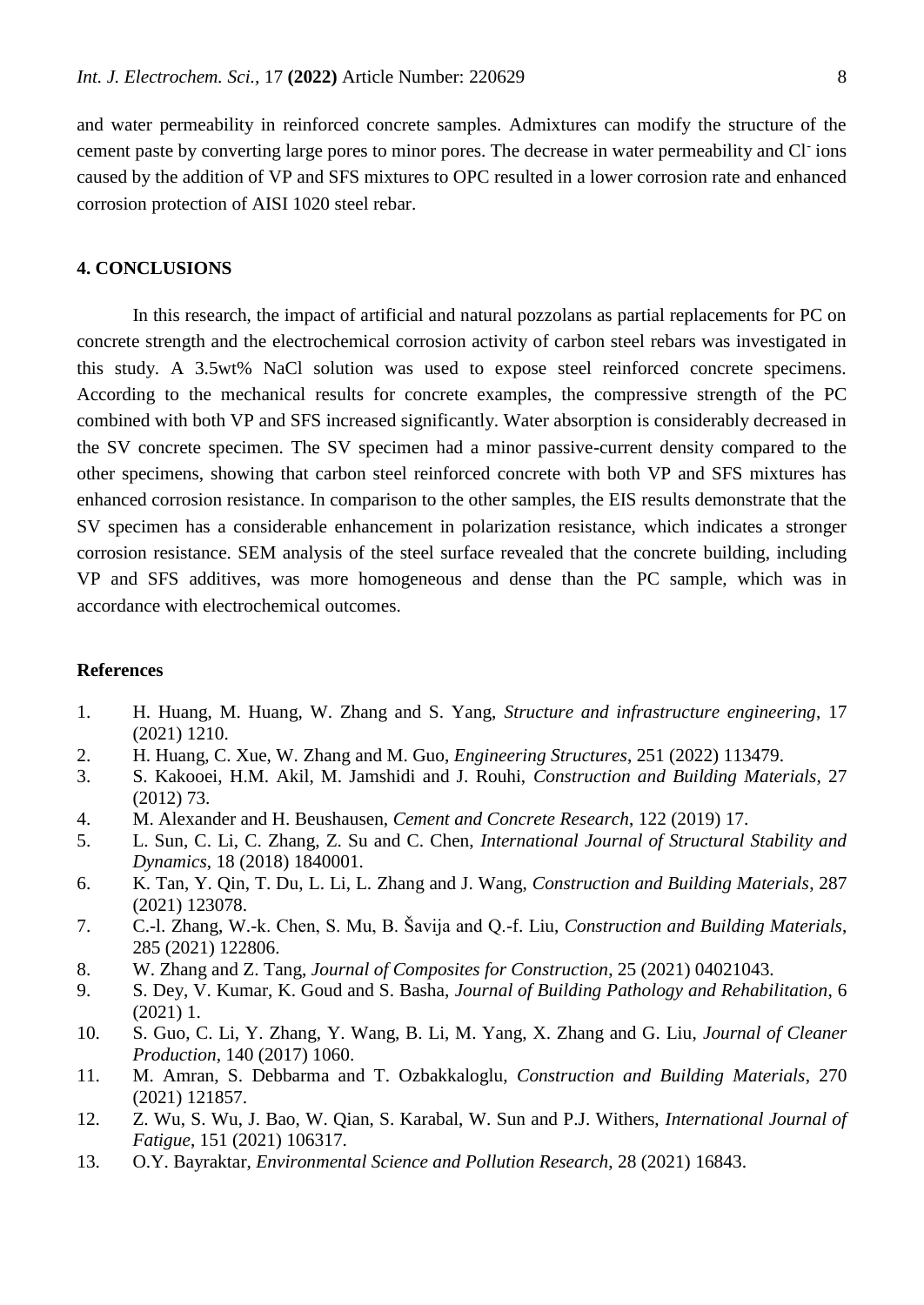and water permeability in reinforced concrete samples. Admixtures can modify the structure of the cement paste by converting large pores to minor pores. The decrease in water permeability and Cl<sup>-</sup>ions caused by the addition of VP and SFS mixtures to OPC resulted in a lower corrosion rate and enhanced corrosion protection of AISI 1020 steel rebar.

### **4. CONCLUSIONS**

In this research, the impact of artificial and natural pozzolans as partial replacements for PC on concrete strength and the electrochemical corrosion activity of carbon steel rebars was investigated in this study. A 3.5wt% NaCl solution was used to expose steel reinforced concrete specimens. According to the mechanical results for concrete examples, the compressive strength of the PC combined with both VP and SFS increased significantly. Water absorption is considerably decreased in the SV concrete specimen. The SV specimen had a minor passive-current density compared to the other specimens, showing that carbon steel reinforced concrete with both VP and SFS mixtures has enhanced corrosion resistance. In comparison to the other samples, the EIS results demonstrate that the SV specimen has a considerable enhancement in polarization resistance, which indicates a stronger corrosion resistance. SEM analysis of the steel surface revealed that the concrete building, including VP and SFS additives, was more homogeneous and dense than the PC sample, which was in accordance with electrochemical outcomes.

#### **References**

- <span id="page-7-0"></span>1. H. Huang, M. Huang, W. Zhang and S. Yang, *Structure and infrastructure engineering*, 17 (2021) 1210.
- 2. H. Huang, C. Xue, W. Zhang and M. Guo, *Engineering Structures*, 251 (2022) 113479.
- 3. S. Kakooei, H.M. Akil, M. Jamshidi and J. Rouhi, *Construction and Building Materials*, 27 (2012) 73.
- <span id="page-7-1"></span>4. M. Alexander and H. Beushausen, *Cement and Concrete Research*, 122 (2019) 17.
- 5. L. Sun, C. Li, C. Zhang, Z. Su and C. Chen, *International Journal of Structural Stability and Dynamics*, 18 (2018) 1840001.
- 6. K. Tan, Y. Qin, T. Du, L. Li, L. Zhang and J. Wang, *Construction and Building Materials*, 287 (2021) 123078.
- <span id="page-7-2"></span>7. C.-l. Zhang, W.-k. Chen, S. Mu, B. Šavija and Q.-f. Liu, *Construction and Building Materials*, 285 (2021) 122806.
- <span id="page-7-3"></span>8. W. Zhang and Z. Tang, *Journal of Composites for Construction*, 25 (2021) 04021043.
- <span id="page-7-4"></span>9. S. Dey, V. Kumar, K. Goud and S. Basha, *Journal of Building Pathology and Rehabilitation*, 6 (2021) 1.
- <span id="page-7-5"></span>10. S. Guo, C. Li, Y. Zhang, Y. Wang, B. Li, M. Yang, X. Zhang and G. Liu, *Journal of Cleaner Production*, 140 (2017) 1060.
- <span id="page-7-6"></span>11. M. Amran, S. Debbarma and T. Ozbakkaloglu, *Construction and Building Materials*, 270 (2021) 121857.
- <span id="page-7-7"></span>12. Z. Wu, S. Wu, J. Bao, W. Qian, S. Karabal, W. Sun and P.J. Withers, *International Journal of Fatigue*, 151 (2021) 106317.
- <span id="page-7-8"></span>13. O.Y. Bayraktar, *Environmental Science and Pollution Research*, 28 (2021) 16843.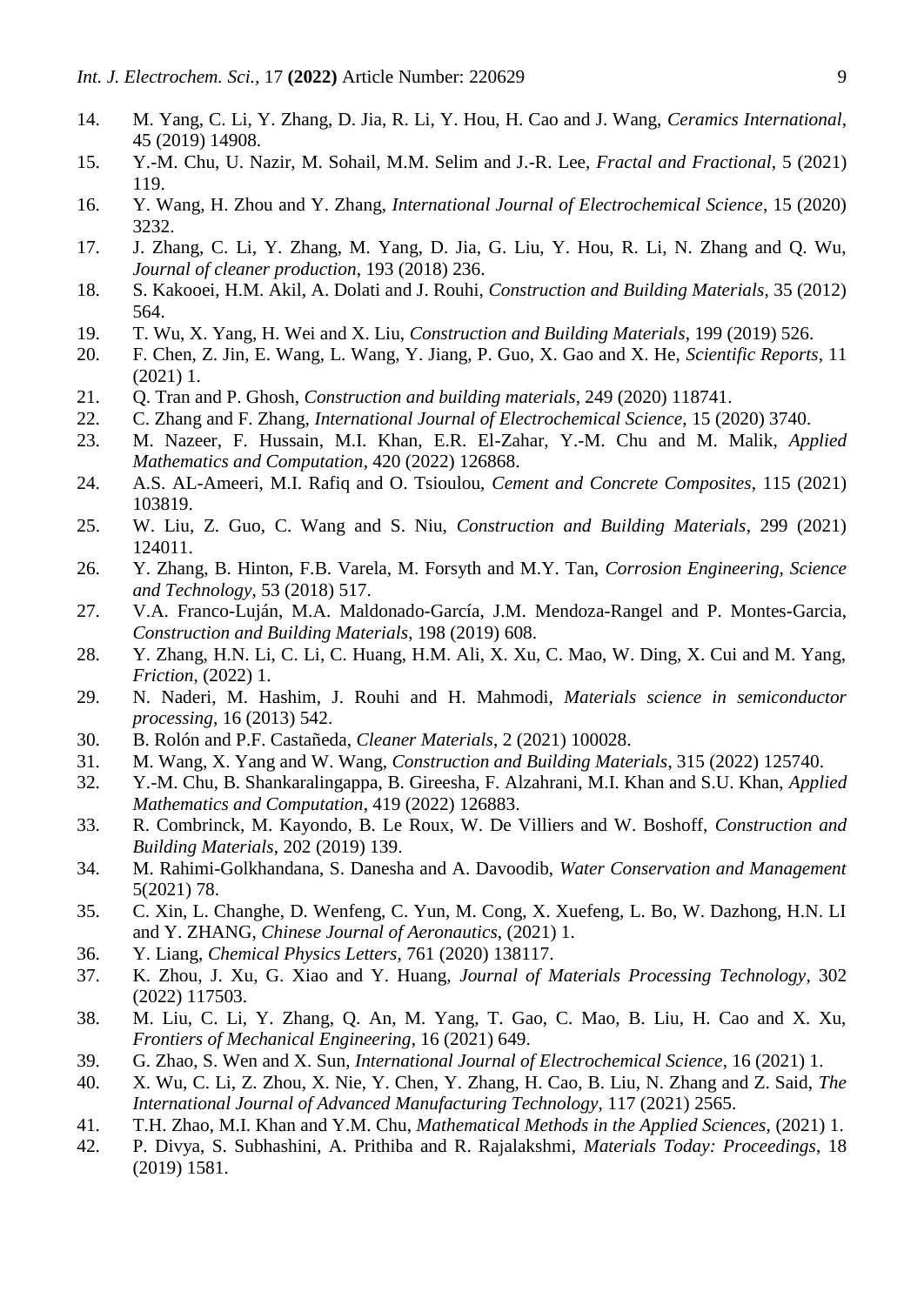- 14. M. Yang, C. Li, Y. Zhang, D. Jia, R. Li, Y. Hou, H. Cao and J. Wang, *Ceramics International*, 45 (2019) 14908.
- 15. Y.-M. Chu, U. Nazir, M. Sohail, M.M. Selim and J.-R. Lee, *Fractal and Fractional*, 5 (2021) 119.
- <span id="page-8-0"></span>16. Y. Wang, H. Zhou and Y. Zhang, *International Journal of Electrochemical Science*, 15 (2020) 3232.
- 17. J. Zhang, C. Li, Y. Zhang, M. Yang, D. Jia, G. Liu, Y. Hou, R. Li, N. Zhang and Q. Wu, *Journal of cleaner production*, 193 (2018) 236.
- 18. S. Kakooei, H.M. Akil, A. Dolati and J. Rouhi, *Construction and Building Materials*, 35 (2012) 564.
- <span id="page-8-1"></span>19. T. Wu, X. Yang, H. Wei and X. Liu, *Construction and Building Materials*, 199 (2019) 526.
- <span id="page-8-2"></span>20. F. Chen, Z. Jin, E. Wang, L. Wang, Y. Jiang, P. Guo, X. Gao and X. He, *Scientific Reports*, 11 (2021) 1.
- <span id="page-8-3"></span>21. Q. Tran and P. Ghosh, *Construction and building materials*, 249 (2020) 118741.
- <span id="page-8-4"></span>22. C. Zhang and F. Zhang, *International Journal of Electrochemical Science*, 15 (2020) 3740.
- <span id="page-8-5"></span>23. M. Nazeer, F. Hussain, M.I. Khan, E.R. El-Zahar, Y.-M. Chu and M. Malik, *Applied Mathematics and Computation*, 420 (2022) 126868.
- <span id="page-8-6"></span>24. A.S. AL-Ameeri, M.I. Rafiq and O. Tsioulou, *Cement and Concrete Composites*, 115 (2021) 103819.
- <span id="page-8-7"></span>25. W. Liu, Z. Guo, C. Wang and S. Niu, *Construction and Building Materials*, 299 (2021) 124011.
- <span id="page-8-8"></span>26. Y. Zhang, B. Hinton, F.B. Varela, M. Forsyth and M.Y. Tan, *Corrosion Engineering, Science and Technology*, 53 (2018) 517.
- <span id="page-8-9"></span>27. V.A. Franco-Luján, M.A. Maldonado-García, J.M. Mendoza-Rangel and P. Montes-Garcia, *Construction and Building Materials*, 198 (2019) 608.
- 28. Y. Zhang, H.N. Li, C. Li, C. Huang, H.M. Ali, X. Xu, C. Mao, W. Ding, X. Cui and M. Yang, *Friction*, (2022) 1.
- 29. N. Naderi, M. Hashim, J. Rouhi and H. Mahmodi, *Materials science in semiconductor processing*, 16 (2013) 542.
- <span id="page-8-10"></span>30. B. Rolón and P.F. Castañeda, *Cleaner Materials*, 2 (2021) 100028.
- 31. M. Wang, X. Yang and W. Wang, *Construction and Building Materials*, 315 (2022) 125740.
- 32. Y.-M. Chu, B. Shankaralingappa, B. Gireesha, F. Alzahrani, M.I. Khan and S.U. Khan, *Applied Mathematics and Computation*, 419 (2022) 126883.
- <span id="page-8-11"></span>33. R. Combrinck, M. Kayondo, B. Le Roux, W. De Villiers and W. Boshoff, *Construction and Building Materials*, 202 (2019) 139.
- 34. M. Rahimi-Golkhandana, S. Danesha and A. Davoodib, *Water Conservation and Management*  5(2021) 78.
- 35. C. Xin, L. Changhe, D. Wenfeng, C. Yun, M. Cong, X. Xuefeng, L. Bo, W. Dazhong, H.N. LI and Y. ZHANG, *Chinese Journal of Aeronautics*, (2021) 1.
- <span id="page-8-12"></span>36. Y. Liang, *Chemical Physics Letters*, 761 (2020) 138117.
- 37. K. Zhou, J. Xu, G. Xiao and Y. Huang, *Journal of Materials Processing Technology*, 302 (2022) 117503.
- 38. M. Liu, C. Li, Y. Zhang, Q. An, M. Yang, T. Gao, C. Mao, B. Liu, H. Cao and X. Xu, *Frontiers of Mechanical Engineering*, 16 (2021) 649.
- <span id="page-8-13"></span>39. G. Zhao, S. Wen and X. Sun, *International Journal of Electrochemical Science*, 16 (2021) 1.
- 40. X. Wu, C. Li, Z. Zhou, X. Nie, Y. Chen, Y. Zhang, H. Cao, B. Liu, N. Zhang and Z. Said, *The International Journal of Advanced Manufacturing Technology*, 117 (2021) 2565.
- 41. T.H. Zhao, M.I. Khan and Y.M. Chu, *Mathematical Methods in the Applied Sciences*, (2021) 1.
- <span id="page-8-14"></span>42. P. Divya, S. Subhashini, A. Prithiba and R. Rajalakshmi, *Materials Today: Proceedings*, 18 (2019) 1581.